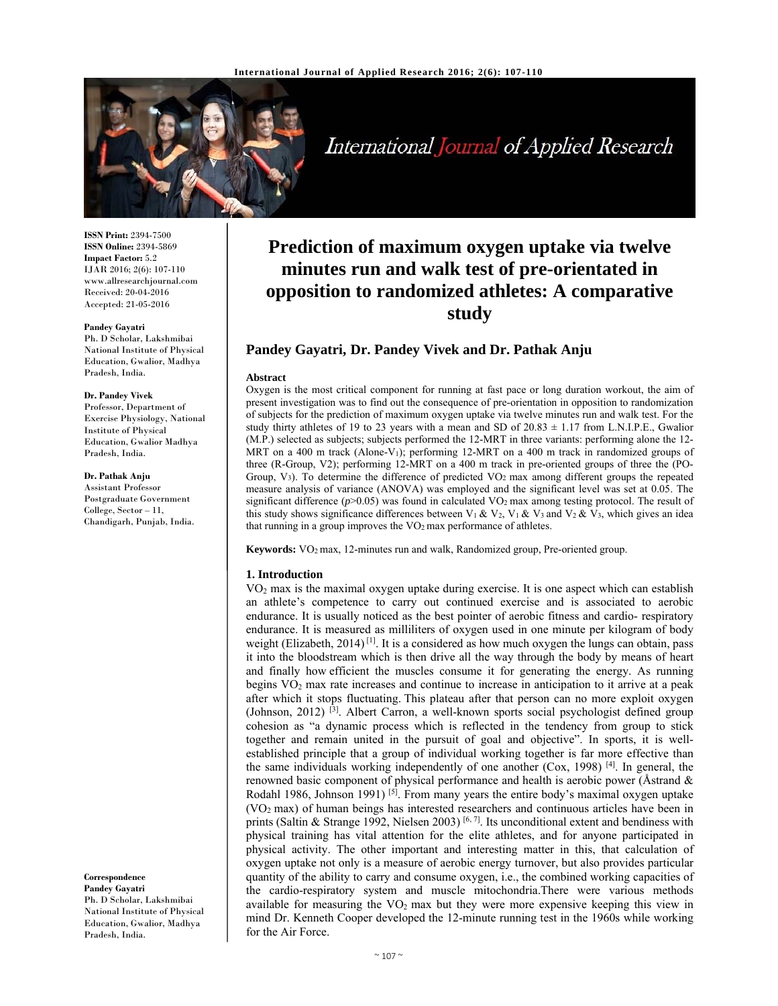

International Journal of Applied Research

**ISSN Print:** 2394-7500 **ISSN Online:** 2394-5869 **Impact Factor:** 5.2 IJAR 2016; 2(6): 107-110 www.allresearchjournal.com Received: 20-04-2016 Accepted: 21-05-2016

#### **Pandey Gayatri**

Ph. D Scholar, Lakshmibai National Institute of Physical Education, Gwalior, Madhya Pradesh, India.

### **Dr. Pandey Vivek**

Professor, Department of Exercise Physiology, National Institute of Physical Education, Gwalior Madhya Pradesh, India.

# **Dr. Pathak Anju**

Assistant Professor Postgraduate Government College, Sector – 11, Chandigarh, Punjab, India.

#### **Correspondence**

**Pandey Gayatri**  Ph. D Scholar, Lakshmibai National Institute of Physical Education, Gwalior, Madhya Pradesh, India.

# **Prediction of maximum oxygen uptake via twelve minutes run and walk test of pre-orientated in opposition to randomized athletes: A comparative study**

# **Pandey Gayatri, Dr. Pandey Vivek and Dr. Pathak Anju**

#### **Abstract**

Oxygen is the most critical component for running at fast pace or long duration workout, the aim of present investigation was to find out the consequence of pre-orientation in opposition to randomization of subjects for the prediction of maximum oxygen uptake via twelve minutes run and walk test. For the study thirty athletes of 19 to 23 years with a mean and SD of  $20.83 \pm 1.17$  from L.N.I.P.E., Gwalior (M.P.) selected as subjects; subjects performed the 12-MRT in three variants: performing alone the 12- MRT on a 400 m track (Alone-V<sub>1</sub>); performing 12-MRT on a 400 m track in randomized groups of three (R-Group, V2); performing 12-MRT on a 400 m track in pre-oriented groups of three the (PO-Group, V3). To determine the difference of predicted VO2 max among different groups the repeated measure analysis of variance (ANOVA) was employed and the significant level was set at 0.05. The significant difference  $(p>0.05)$  was found in calculated VO<sub>2</sub> max among testing protocol. The result of this study shows significance differences between V<sub>1</sub> & V<sub>2</sub>, V<sub>1</sub> & V<sub>3</sub> and V<sub>2</sub> & V<sub>3</sub>, which gives an idea that running in a group improves the  $VO<sub>2</sub>$  max performance of athletes.

**Keywords:** VO2 max, 12-minutes run and walk, Randomized group, Pre-oriented group.

# **1. Introduction**

VO2 max is the maximal oxygen uptake during exercise. It is one aspect which can establish an athlete's competence to carry out continued exercise and is associated to aerobic endurance. It is usually noticed as the best pointer of aerobic fitness and cardio- respiratory endurance. It is measured as milliliters of oxygen used in one minute per kilogram of body weight (Elizabeth, 2014)<sup>[1]</sup>. It is a considered as how much oxygen the lungs can obtain, pass it into the bloodstream which is then drive all the way through the body by means of heart and finally how efficient the muscles consume it for generating the energy. As running begins  $VO<sub>2</sub>$  max rate increases and continue to increase in anticipation to it arrive at a peak after which it stops fluctuating. This plateau after that person can no more exploit oxygen (Johnson, 2012) [3]. Albert Carron, a well-known sports social psychologist defined group cohesion as "a dynamic process which is reflected in the tendency from group to stick together and remain united in the pursuit of goal and objective". In sports, it is wellestablished principle that a group of individual working together is far more effective than the same individuals working independently of one another  $(Cox, 1998)$  [4]. In general, the renowned basic component of physical performance and health is aerobic power (Åstrand  $\&$ Rodahl 1986, Johnson 1991) <sup>[5]</sup>. From many years the entire body's maximal oxygen uptake (VO2 max) of human beings has interested researchers and continuous articles have been in prints (Saltin & Strange 1992, Nielsen 2003) [6, 7]. Its unconditional extent and bendiness with physical training has vital attention for the elite athletes, and for anyone participated in physical activity. The other important and interesting matter in this, that calculation of oxygen uptake not only is a measure of aerobic energy turnover, but also provides particular quantity of the ability to carry and consume oxygen, i.e., the combined working capacities of the cardio-respiratory system and muscle mitochondria.There were various methods available for measuring the  $VO<sub>2</sub>$  max but they were more expensive keeping this view in mind Dr. Kenneth Cooper developed the 12-minute running test in the 1960s while working for the Air Force.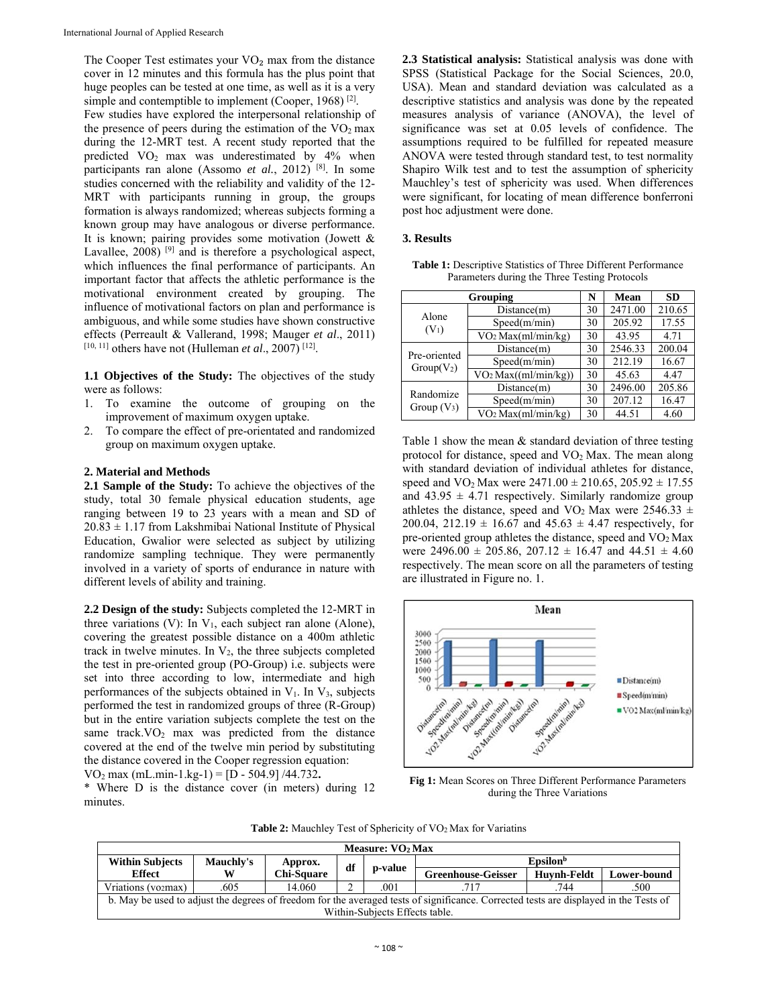The Cooper Test estimates your  $VO<sub>2</sub>$  max from the distance cover in 12 minutes and this formula has the plus point that huge peoples can be tested at one time, as well as it is a very simple and contemptible to implement (Cooper, 1968)<sup>[2]</sup>.

Few studies have explored the interpersonal relationship of the presence of peers during the estimation of the  $VO<sub>2</sub>$  max during the 12-MRT test. A recent study reported that the predicted VO2 max was underestimated by 4% when participants ran alone (Assomo *et al.*, 2012) [8]. In some studies concerned with the reliability and validity of the 12- MRT with participants running in group, the groups formation is always randomized; whereas subjects forming a known group may have analogous or diverse performance. It is known; pairing provides some motivation (Jowett & Lavallee, 2008)<sup>[9]</sup> and is therefore a psychological aspect, which influences the final performance of participants. An important factor that affects the athletic performance is the motivational environment created by grouping. The influence of motivational factors on plan and performance is ambiguous, and while some studies have shown constructive effects (Perreault & Vallerand, 1998; Mauger *et al*., 2011) [10, 11] others have not (Hulleman *et al*., 2007) [12].

**1.1 Objectives of the Study:** The objectives of the study were as follows:

- 1. To examine the outcome of grouping on the improvement of maximum oxygen uptake.
- 2. To compare the effect of pre-orientated and randomized group on maximum oxygen uptake.

# **2. Material and Methods**

**2.1 Sample of the Study:** To achieve the objectives of the study, total 30 female physical education students, age ranging between 19 to 23 years with a mean and SD of  $20.83 \pm 1.17$  from Lakshmibai National Institute of Physical Education, Gwalior were selected as subject by utilizing randomize sampling technique. They were permanently involved in a variety of sports of endurance in nature with different levels of ability and training.

**2.2 Design of the study:** Subjects completed the 12-MRT in three variations (V): In  $V_1$ , each subject ran alone (Alone), covering the greatest possible distance on a 400m athletic track in twelve minutes. In  $V_2$ , the three subjects completed the test in pre-oriented group (PO-Group) i.e. subjects were set into three according to low, intermediate and high performances of the subjects obtained in  $V_1$ . In  $V_3$ , subjects performed the test in randomized groups of three (R-Group) but in the entire variation subjects complete the test on the same track.  $VO<sub>2</sub>$  max was predicted from the distance covered at the end of the twelve min period by substituting the distance covered in the Cooper regression equation: VO2 max (mL.min-1.kg-1) = [D - 504.9] /44.732**.** 

\* Where D is the distance cover (in meters) during 12 minutes.

**2.3 Statistical analysis:** Statistical analysis was done with SPSS (Statistical Package for the Social Sciences, 20.0, USA). Mean and standard deviation was calculated as a descriptive statistics and analysis was done by the repeated measures analysis of variance (ANOVA), the level of significance was set at 0.05 levels of confidence. The assumptions required to be fulfilled for repeated measure ANOVA were tested through standard test, to test normality Shapiro Wilk test and to test the assumption of sphericity Mauchley's test of sphericity was used. When differences were significant, for locating of mean difference bonferroni post hoc adjustment were done.

# **3. Results**

**Table 1:** Descriptive Statistics of Three Different Performance Parameters during the Three Testing Protocols

| Grouping                     |                                  |    | <b>Mean</b> | <b>SD</b> |
|------------------------------|----------------------------------|----|-------------|-----------|
| Alone<br>$(V_1)$             | Distance(m)                      | 30 | 2471.00     | 210.65    |
|                              | Speed(m/min)                     | 30 | 205.92      | 17.55     |
|                              | VO <sub>2</sub> Max(ml/min/kg)   | 30 | 43.95       | 4.71      |
| Pre-oriented<br>$Group(V_2)$ | Distance(m)                      | 30 | 2546.33     | 200.04    |
|                              | Speed(m/min)                     | 30 | 212.19      | 16.67     |
|                              | VO <sub>2</sub> Max((ml/min/kg)) | 30 | 45.63       | 4.47      |
| Randomize<br>Group $(V_3)$   | Distance(m)                      | 30 | 2496.00     | 205.86    |
|                              | Speed(m/min)                     | 30 | 207.12      | 16.47     |
|                              | VO <sub>2</sub> Max(ml/min/kg)   | 30 | 44.51       | 4.60      |

Table 1 show the mean & standard deviation of three testing protocol for distance, speed and VO<sub>2</sub> Max. The mean along with standard deviation of individual athletes for distance, speed and  $VO<sub>2</sub> Max were 2471.00  $\pm$  210.65, 205.92  $\pm$  17.55$ and  $43.95 \pm 4.71$  respectively. Similarly randomize group athletes the distance, speed and VO<sub>2</sub> Max were 2546.33  $\pm$ 200.04, 212.19  $\pm$  16.67 and 45.63  $\pm$  4.47 respectively, for pre-oriented group athletes the distance, speed and VO2 Max were  $2496.00 \pm 205.86$ ,  $207.12 \pm 16.47$  and  $44.51 \pm 4.60$ respectively. The mean score on all the parameters of testing are illustrated in Figure no. 1.



**Fig 1:** Mean Scores on Three Different Performance Parameters during the Three Variations

**Table 2:** Mauchley Test of Sphericity of VO2 Max for Variatins

| Measure: $VO2 Max$                                                                                                                    |                  |                   |         |                           |                      |             |      |
|---------------------------------------------------------------------------------------------------------------------------------------|------------------|-------------------|---------|---------------------------|----------------------|-------------|------|
| <b>Within Subjects</b>                                                                                                                | <b>Mauchly's</b> | Approx.           | df      |                           | Epsilon <sup>b</sup> |             |      |
| Effect                                                                                                                                | W                | <b>Chi-Square</b> | p-value | <b>Greenhouse-Geisser</b> | <b>Huvnh-Feldt</b>   | Lower-bound |      |
| Vriations (vozmax)                                                                                                                    | .605             | 14.060            | ◠<br>∼  | .001                      | .717                 | 744         | .500 |
| b. May be used to adjust the degrees of freedom for the averaged tests of significance. Corrected tests are displayed in the Tests of |                  |                   |         |                           |                      |             |      |
| Within-Subjects Effects table.                                                                                                        |                  |                   |         |                           |                      |             |      |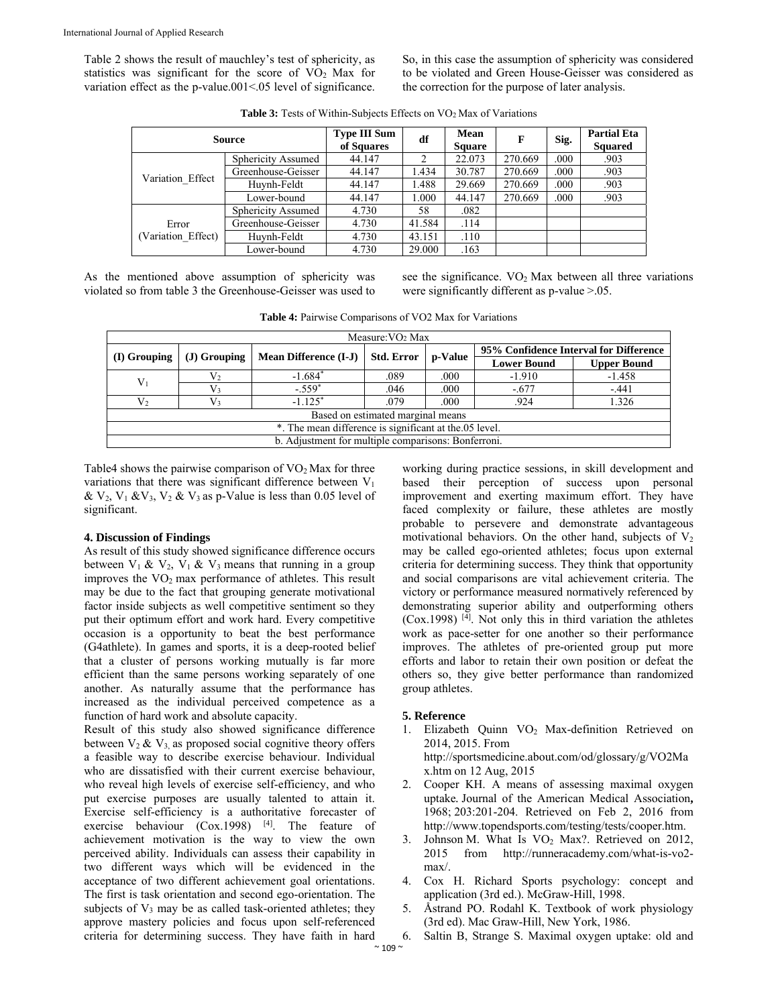Table 2 shows the result of mauchley's test of sphericity, as statistics was significant for the score of  $VO<sub>2</sub>$  Max for variation effect as the p-value.001<.05 level of significance. So, in this case the assumption of sphericity was considered to be violated and Green House-Geisser was considered as the correction for the purpose of later analysis.

| <b>Source</b>               |                    | <b>Type III Sum</b><br>of Squares | df     | Mean<br><b>Square</b> | F       | Sig. | <b>Partial Eta</b><br><b>Squared</b> |
|-----------------------------|--------------------|-----------------------------------|--------|-----------------------|---------|------|--------------------------------------|
| Variation Effect            | Sphericity Assumed | 44.147                            | 2      | 22.073                | 270.669 | .000 | .903                                 |
|                             | Greenhouse-Geisser | 44.147                            | 1.434  | 30.787                | 270.669 | .000 | .903                                 |
|                             | Huvnh-Feldt        | 44.147                            | 1.488  | 29.669                | 270.669 | .000 | .903                                 |
|                             | Lower-bound        | 44.147                            | 1.000  | 44.147                | 270.669 | .000 | .903                                 |
|                             | Sphericity Assumed | 4.730                             | 58     | .082                  |         |      |                                      |
| Error<br>(Variation Effect) | Greenhouse-Geisser | 4.730                             | 41.584 | .114                  |         |      |                                      |
|                             | Huvnh-Feldt        | 4.730                             | 43.151 | .110                  |         |      |                                      |
|                             | Lower-bound        | 4.730                             | 29.000 | .163                  |         |      |                                      |

Table 3: Tests of Within-Subjects Effects on VO<sub>2</sub> Max of Variations

As the mentioned above assumption of sphericity was violated so from table 3 the Greenhouse-Geisser was used to

see the significance.  $VO<sub>2</sub>$  Max between all three variations were significantly different as p-value >.05.

| Measure: $VO2 Max$                                     |               |                              |                   |         |                                        |                    |  |
|--------------------------------------------------------|---------------|------------------------------|-------------------|---------|----------------------------------------|--------------------|--|
| $(I)$ Grouping                                         | $J)$ Grouping | <b>Mean Difference (I-J)</b> | <b>Std. Error</b> | p-Value | 95% Confidence Interval for Difference |                    |  |
|                                                        |               |                              |                   |         | <b>Lower Bound</b>                     | <b>Upper Bound</b> |  |
| V <sub>1</sub>                                         | $\rm V_2$     | $-1.684*$                    | .089              | .000    | $-1.910$                               | $-1.458$           |  |
|                                                        | V3            | $-.559*$                     | .046              | .000    | $-.677$                                | $-.441$            |  |
| V <sub>2</sub>                                         | V٩            | $-1.125^*$                   | .079              | .000    | .924                                   | 1.326              |  |
| Based on estimated marginal means                      |               |                              |                   |         |                                        |                    |  |
| *. The mean difference is significant at the 05 level. |               |                              |                   |         |                                        |                    |  |
| b. Adjustment for multiple comparisons: Bonferroni.    |               |                              |                   |         |                                        |                    |  |

**Table 4:** Pairwise Comparisons of VO2 Max for Variations

Table4 shows the pairwise comparison of  $VO<sub>2</sub>$  Max for three variations that there was significant difference between  $V_1$ &  $V_2$ ,  $V_1$  & $V_3$ ,  $V_2$  &  $V_3$  as p-Value is less than 0.05 level of significant.

# **4. Discussion of Findings**

As result of this study showed significance difference occurs between  $V_1$  &  $V_2$ ,  $V_1$  &  $V_3$  means that running in a group improves the VO2 max performance of athletes. This result may be due to the fact that grouping generate motivational factor inside subjects as well competitive sentiment so they put their optimum effort and work hard. Every competitive occasion is a opportunity to beat the best performance (G4athlete). In games and sports, it is a deep-rooted belief that a cluster of persons working mutually is far more efficient than the same persons working separately of one another. As naturally assume that the performance has increased as the individual perceived competence as a function of hard work and absolute capacity.

Result of this study also showed significance difference between  $V_2$  &  $V_3$  as proposed social cognitive theory offers a feasible way to describe exercise behaviour. Individual who are dissatisfied with their current exercise behaviour, who reveal high levels of exercise self-efficiency, and who put exercise purposes are usually talented to attain it. Exercise self-efficiency is a authoritative forecaster of exercise behaviour  $(Cox.1998)$  [4]. The feature of achievement motivation is the way to view the own perceived ability. Individuals can assess their capability in two different ways which will be evidenced in the acceptance of two different achievement goal orientations. The first is task orientation and second ego-orientation. The subjects of  $V_3$  may be as called task-oriented athletes; they approve mastery policies and focus upon self-referenced criteria for determining success. They have faith in hard

working during practice sessions, in skill development and based their perception of success upon personal improvement and exerting maximum effort. They have faced complexity or failure, these athletes are mostly probable to persevere and demonstrate advantageous motivational behaviors. On the other hand, subjects of  $V_2$ may be called ego-oriented athletes; focus upon external criteria for determining success. They think that opportunity and social comparisons are vital achievement criteria. The victory or performance measured normatively referenced by demonstrating superior ability and outperforming others  $(Cox.1998)$ <sup>[4]</sup>. Not only this in third variation the athletes work as pace-setter for one another so their performance improves. The athletes of pre-oriented group put more efforts and labor to retain their own position or defeat the others so, they give better performance than randomized group athletes.

# **5. Reference**

1. Elizabeth Quinn VO<sub>2</sub> Max-definition Retrieved on 2014, 2015. From http://sportsmedicine.about.com/od/glossary/g/VO2Ma

x.htm on 12 Aug, 2015

- 2. Cooper KH. A means of assessing maximal oxygen uptake*.* Journal of the American Medical Association**,** 1968; 203:201-204. Retrieved on Feb 2, 2016 from http://www.topendsports.com/testing/tests/cooper.htm.
- 3. Johnson M. What Is VO<sub>2</sub> Max?. Retrieved on 2012, 2015 from http://runneracademy.com/what-is-vo2 max/.
- 4. Cox H. Richard Sports psychology: concept and application (3rd ed.). McGraw-Hill, 1998.
- 5. Åstrand PO. Rodahl K. Textbook of work physiology (3rd ed). Mac Graw-Hill, New York, 1986.
- 6. Saltin B, Strange S. Maximal oxygen uptake: old and